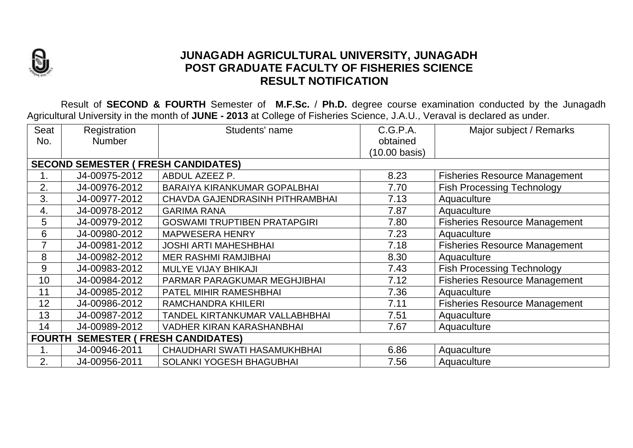

## **JUNAGADH AGRICULTURAL UNIVERSITY, JUNAGADH POST GRADUATE FACULTY OF FISHERIES SCIENCE RESULT NOTIFICATION**

Result of **SECOND & FOURTH** Semester of **M.F.Sc.** / **Ph.D.** degree course examination conducted by the Junagadh Agricultural University in the month of **JUNE - 2013** at College of Fisheries Science, J.A.U., Veraval is declared as under.

| Seat                                       | Registration  | Students' name                      | C.G.P.A.      | Major subject / Remarks              |  |  |  |
|--------------------------------------------|---------------|-------------------------------------|---------------|--------------------------------------|--|--|--|
| No.                                        | <b>Number</b> |                                     | obtained      |                                      |  |  |  |
|                                            |               |                                     | (10.00 basis) |                                      |  |  |  |
| <b>SECOND SEMESTER ( FRESH CANDIDATES)</b> |               |                                     |               |                                      |  |  |  |
|                                            | J4-00975-2012 | ABDUL AZEEZ P.                      | 8.23          | <b>Fisheries Resource Management</b> |  |  |  |
| 2.                                         | J4-00976-2012 | <b>BARAIYA KIRANKUMAR GOPALBHAI</b> | 7.70          | <b>Fish Processing Technology</b>    |  |  |  |
| 3.                                         | J4-00977-2012 | CHAVDA GAJENDRASINH PITHRAMBHAI     | 7.13          | Aquaculture                          |  |  |  |
| 4.                                         | J4-00978-2012 | <b>GARIMA RANA</b>                  | 7.87          | Aquaculture                          |  |  |  |
| 5                                          | J4-00979-2012 | <b>GOSWAMI TRUPTIBEN PRATAPGIRI</b> | 7.80          | <b>Fisheries Resource Management</b> |  |  |  |
| 6                                          | J4-00980-2012 | <b>MAPWESERA HENRY</b>              | 7.23          | Aquaculture                          |  |  |  |
| $\overline{7}$                             | J4-00981-2012 | <b>JOSHI ARTI MAHESHBHAI</b>        | 7.18          | <b>Fisheries Resource Management</b> |  |  |  |
| 8                                          | J4-00982-2012 | <b>MER RASHMI RAMJIBHAI</b>         | 8.30          | Aquaculture                          |  |  |  |
| 9                                          | J4-00983-2012 | <b>MULYE VIJAY BHIKAJI</b>          | 7.43          | <b>Fish Processing Technology</b>    |  |  |  |
| 10                                         | J4-00984-2012 | PARMAR PARAGKUMAR MEGHJIBHAI        | 7.12          | <b>Fisheries Resource Management</b> |  |  |  |
| 11                                         | J4-00985-2012 | PATEL MIHIR RAMESHBHAI              | 7.36          | Aquaculture                          |  |  |  |
| 12                                         | J4-00986-2012 | <b>RAMCHANDRA KHILERI</b>           | 7.11          | <b>Fisheries Resource Management</b> |  |  |  |
| 13                                         | J4-00987-2012 | TANDEL KIRTANKUMAR VALLABHBHAI      | 7.51          | Aquaculture                          |  |  |  |
| 14                                         | J4-00989-2012 | <b>VADHER KIRAN KARASHANBHAI</b>    | 7.67          | Aquaculture                          |  |  |  |
| <b>FOURTH SEMESTER (FRESH CANDIDATES)</b>  |               |                                     |               |                                      |  |  |  |
| 1.                                         | J4-00946-2011 | CHAUDHARI SWATI HASAMUKHBHAI        | 6.86          | Aquaculture                          |  |  |  |
| 2.                                         | J4-00956-2011 | <b>SOLANKI YOGESH BHAGUBHAI</b>     | 7.56          | Aquaculture                          |  |  |  |